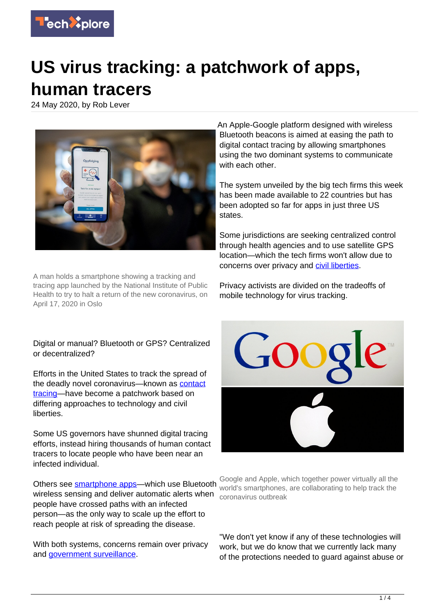

## **US virus tracking: a patchwork of apps, human tracers**

24 May 2020, by Rob Lever



A man holds a smartphone showing a tracking and tracing app launched by the National Institute of Public Health to try to halt a return of the new coronavirus, on April 17, 2020 in Oslo

An Apple-Google platform designed with wireless Bluetooth beacons is aimed at easing the path to digital contact tracing by allowing smartphones using the two dominant systems to communicate with each other.

The system unveiled by the big tech firms this week has been made available to 22 countries but has been adopted so far for apps in just three US states.

Some jurisdictions are seeking centralized control through health agencies and to use satellite GPS location—which the tech firms won't allow due to concerns over privacy and [civil liberties](https://techxplore.com/tags/civil+liberties/).

Privacy activists are divided on the tradeoffs of mobile technology for virus tracking.

Digital or manual? Bluetooth or GPS? Centralized or decentralized?

Efforts in the United States to track the spread of the deadly novel coronavirus—known as [contact](https://techxplore.com/tags/contact+tracing/) [tracing](https://techxplore.com/tags/contact+tracing/)—have become a patchwork based on differing approaches to technology and civil liberties.

Some US governors have shunned digital tracing efforts, instead hiring thousands of human contact tracers to locate people who have been near an infected individual.

Others see **smartphone apps**—which use Bluetooth wireless sensing and deliver automatic alerts when coronavirus outbreak people have crossed paths with an infected person—as the only way to scale up the effort to reach people at risk of spreading the disease.

With both systems, concerns remain over privacy and [government surveillance.](https://techxplore.com/tags/government+surveillance/)



Google and Apple, which together power virtually all the world's smartphones, are collaborating to help track the

"We don't yet know if any of these technologies will work, but we do know that we currently lack many of the protections needed to guard against abuse or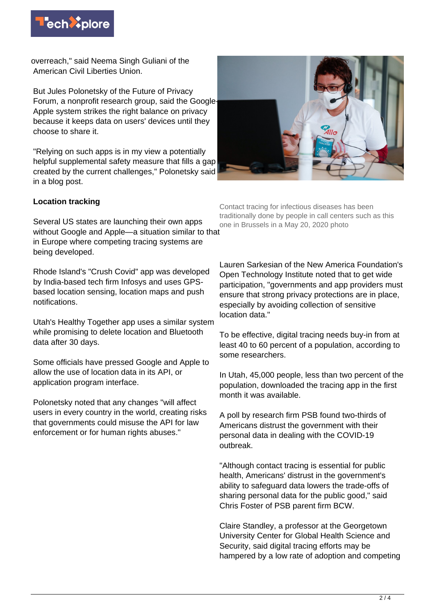

overreach," said Neema Singh Guliani of the American Civil Liberties Union.

But Jules Polonetsky of the Future of Privacy Forum, a nonprofit research group, said the Google-Apple system strikes the right balance on privacy because it keeps data on users' devices until they choose to share it.

"Relying on such apps is in my view a potentially helpful supplemental safety measure that fills a gap created by the current challenges," Polonetsky said in a blog post.



## **Location tracking**

Several US states are launching their own apps without Google and Apple—a situation similar to that in Europe where competing tracing systems are being developed.

Rhode Island's "Crush Covid" app was developed by India-based tech firm Infosys and uses GPSbased location sensing, location maps and push notifications.

Utah's Healthy Together app uses a similar system while promising to delete location and Bluetooth data after 30 days.

Some officials have pressed Google and Apple to allow the use of location data in its API, or application program interface.

Polonetsky noted that any changes "will affect users in every country in the world, creating risks that governments could misuse the API for law enforcement or for human rights abuses."

Contact tracing for infectious diseases has been traditionally done by people in call centers such as this one in Brussels in a May 20, 2020 photo

Lauren Sarkesian of the New America Foundation's Open Technology Institute noted that to get wide participation, "governments and app providers must ensure that strong privacy protections are in place, especially by avoiding collection of sensitive location data."

To be effective, digital tracing needs buy-in from at least 40 to 60 percent of a population, according to some researchers.

In Utah, 45,000 people, less than two percent of the population, downloaded the tracing app in the first month it was available.

A poll by research firm PSB found two-thirds of Americans distrust the government with their personal data in dealing with the COVID-19 outbreak.

"Although contact tracing is essential for public health, Americans' distrust in the government's ability to safeguard data lowers the trade-offs of sharing personal data for the public good," said Chris Foster of PSB parent firm BCW.

Claire Standley, a professor at the Georgetown University Center for Global Health Science and Security, said digital tracing efforts may be hampered by a low rate of adoption and competing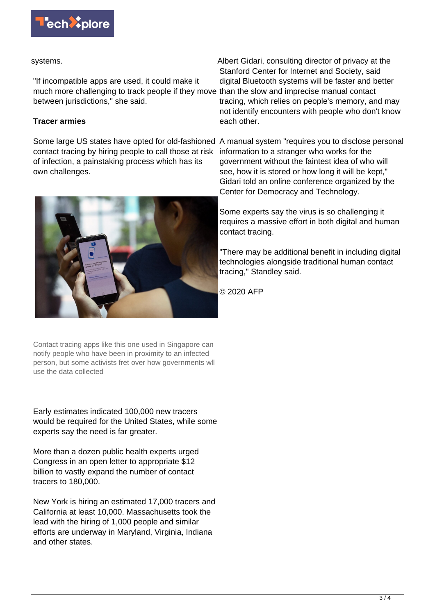

## systems.

"If incompatible apps are used, it could make it much more challenging to track people if they move than the slow and imprecise manual contact between jurisdictions," she said.

## **Tracer armies**

contact tracing by hiring people to call those at risk of infection, a painstaking process which has its own challenges.



Contact tracing apps like this one used in Singapore can notify people who have been in proximity to an infected person, but some activists fret over how governments wll use the data collected

Early estimates indicated 100,000 new tracers would be required for the United States, while some experts say the need is far greater.

More than a dozen public health experts urged Congress in an open letter to appropriate \$12 billion to vastly expand the number of contact tracers to 180,000.

New York is hiring an estimated 17,000 tracers and California at least 10,000. Massachusetts took the lead with the hiring of 1,000 people and similar efforts are underway in Maryland, Virginia, Indiana and other states.

Albert Gidari, consulting director of privacy at the Stanford Center for Internet and Society, said digital Bluetooth systems will be faster and better tracing, which relies on people's memory, and may not identify encounters with people who don't know each other.

Some large US states have opted for old-fashioned A manual system "requires you to disclose personal information to a stranger who works for the government without the faintest idea of who will see, how it is stored or how long it will be kept," Gidari told an online conference organized by the Center for Democracy and Technology.

> Some experts say the virus is so challenging it requires a massive effort in both digital and human contact tracing.

> "There may be additional benefit in including digital technologies alongside traditional human contact tracing," Standley said.

© 2020 AFP